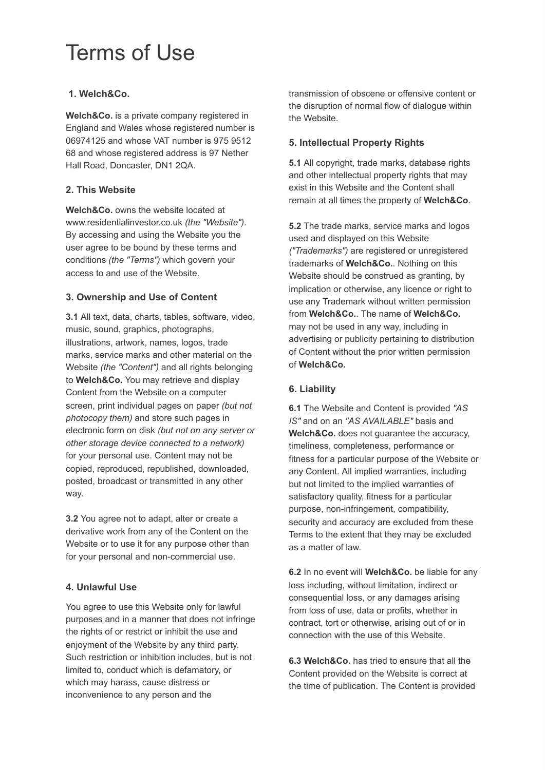# Terms of Use

## **1. Welch&Co.**

**Welch&Co.** is a private company registered in England and Wales whose registered number is 06974125 and whose VAT number is 975 9512 68 and whose registered address is 97 Nether Hall Road, Doncaster, DN1 2QA.

## **2. This Website**

**Welch&Co.** owns the website located at www.residentialinvestor.co.uk *(the "Website")* . By accessing and using the Website you the user agree to be bound by these terms and conditions *(the "Terms")* which govern your access to and use of the Website.

## **3. Ownership and Use of Content**

**3.1** All text, data, charts, tables, software, video, music, sound, graphics, photographs, illustrations, artwork, names, logos, trade marks, service marks and other material on the Website *(the "Content")* and all rights belonging to **Welch&Co.** You may retrieve and display Content from the Website on a computer screen, print individual pages on paper *(but not photocopy them)* and store such pages in electronic form on disk *(but not on any server or other storage device connected to a network)*  for your personal use. Content may not be copied, reproduced, republished, downloaded, posted, broadcast or transmitted in any other way.

**3.2** You agree not to adapt, alter or create a derivative work from any of the Content on the Website or to use it for any purpose other than for your personal and non-commercial use.

# **4. Unlawful Use**

You agree to use this Website only for lawful purposes and in a manner that does not infringe the rights of or restrict or inhibit the use and enjoyment of the Website by any third party. Such restriction or inhibition includes, but is not limited to, conduct which is defamatory, or which may harass, cause distress or inconvenience to any person and the

transmission of obscene or offensive content or the disruption of normal flow of dialogue within the Website.

## **5. Intellectual Property Rights**

**5.1** All copyright, trade marks, database rights and other intellectual property rights that may exist in this Website and the Content shall remain at all times the property of **Welch&Co** .

**5.2** The trade marks, service marks and logos used and displayed on this Website *("Trademarks")* are registered or unregistered trademarks of **Welch&Co.** . Nothing on this Website should be construed as granting, by implication or otherwise, any licence or right to use any Trademark without written permission from **Welch&Co.** . The name of **Welch&Co.**  may not be used in any way, including in advertising or publicity pertaining to distribution of Content without the prior written permission of **Welch&Co.** 

# **6. Liability**

**6.1** The Website and Content is provided *"AS IS"* and on an *"AS AVAILABLE"* basis and **Welch&Co.** does not guarantee the accuracy, timeliness, completeness, performance or fitness for a particular purpose of the Website or any Content. All implied warranties, including but not limited to the implied warranties of satisfactory quality, fitness for a particular purpose, non-infringement, compatibility, security and accuracy are excluded from these Terms to the extent that they may be excluded as a matter of law.

**6.2** In no event will **Welch&Co.** be liable for any loss including, without limitation, indirect or consequential loss, or any damages arising from loss of use, data or profits, whether in contract, tort or otherwise, arising out of or in connection with the use of this Website.

**6.3 Welch&Co.** has tried to ensure that all the Content provided on the Website is correct at the time of publication. The Content is provided